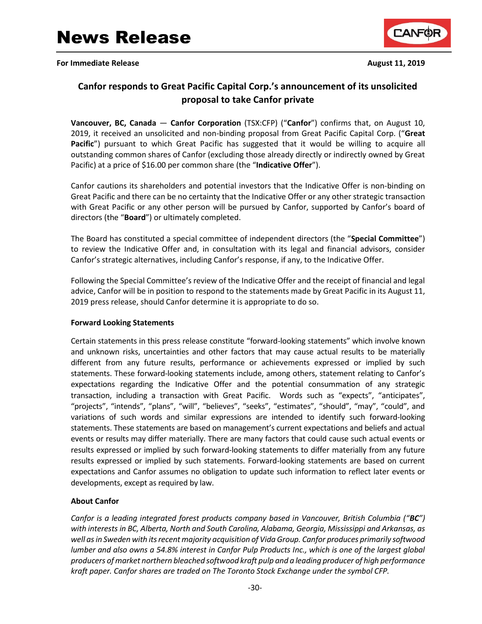**For Immediate Release and Security 11, 2019 August 11, 2019** 



# **Canfor responds to Great Pacific Capital Corp.'s announcement of its unsolicited proposal to take Canfor private**

**Vancouver, BC, Canada** — **Canfor Corporation** (TSX:CFP) ("**Canfor**") confirms that, on August 10, 2019, it received an unsolicited and non-binding proposal from Great Pacific Capital Corp. ("**Great Pacific**") pursuant to which Great Pacific has suggested that it would be willing to acquire all outstanding common shares of Canfor (excluding those already directly or indirectly owned by Great Pacific) at a price of \$16.00 per common share (the "**Indicative Offer**").

Canfor cautions its shareholders and potential investors that the Indicative Offer is non-binding on Great Pacific and there can be no certainty that the Indicative Offer or any other strategic transaction with Great Pacific or any other person will be pursued by Canfor, supported by Canfor's board of directors (the "**Board**") or ultimately completed.

The Board has constituted a special committee of independent directors (the "**Special Committee**") to review the Indicative Offer and, in consultation with its legal and financial advisors, consider Canfor's strategic alternatives, including Canfor's response, if any, to the Indicative Offer.

Following the Special Committee's review of the Indicative Offer and the receipt of financial and legal advice, Canfor will be in position to respond to the statements made by Great Pacific in its August 11, 2019 press release, should Canfor determine it is appropriate to do so.

## **Forward Looking Statements**

Certain statements in this press release constitute "forward-looking statements" which involve known and unknown risks, uncertainties and other factors that may cause actual results to be materially different from any future results, performance or achievements expressed or implied by such statements. These forward-looking statements include, among others, statement relating to Canfor's expectations regarding the Indicative Offer and the potential consummation of any strategic transaction, including a transaction with Great Pacific. Words such as "expects", "anticipates", "projects", "intends", "plans", "will", "believes", "seeks", "estimates", "should", "may", "could", and variations of such words and similar expressions are intended to identify such forward-looking statements. These statements are based on management's current expectations and beliefs and actual events or results may differ materially. There are many factors that could cause such actual events or results expressed or implied by such forward-looking statements to differ materially from any future results expressed or implied by such statements. Forward-looking statements are based on current expectations and Canfor assumes no obligation to update such information to reflect later events or developments, except as required by law.

# **About Canfor**

*Canfor is a leading integrated forest products company based in Vancouver, British Columbia ("BC") with interests in BC, Alberta, North and South Carolina, Alabama, Georgia, Mississippi and Arkansas, as well as in Sweden with its recent majority acquisition of Vida Group. Canfor produces primarily softwood lumber and also owns a 54.8% interest in Canfor Pulp Products Inc., which is one of the largest global producers of market northern bleached softwood kraft pulp and a leading producer of high performance kraft paper. Canfor shares are traded on The Toronto Stock Exchange under the symbol CFP.*